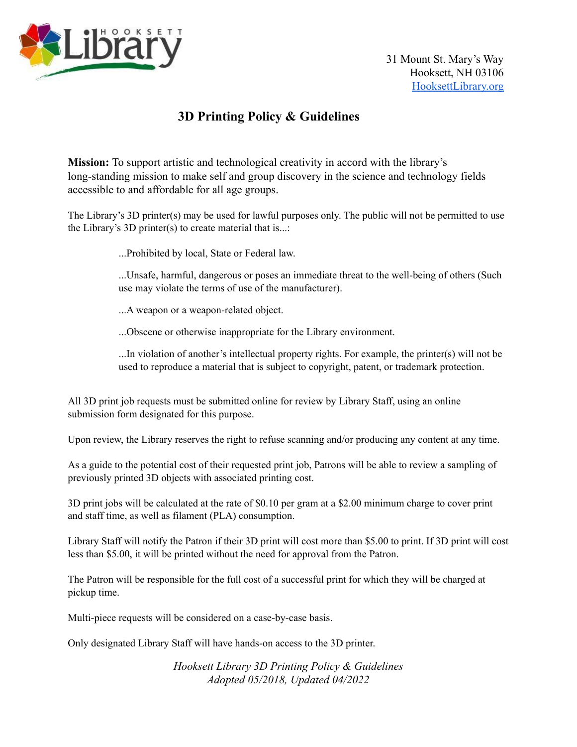

## **3D Printing Policy & Guidelines**

**Mission:** To support artistic and technological creativity in accord with the library's long-standing mission to make self and group discovery in the science and technology fields accessible to and affordable for all age groups.

The Library's 3D printer(s) may be used for lawful purposes only. The public will not be permitted to use the Library's 3D printer(s) to create material that is...:

...Prohibited by local, State or Federal law.

...Unsafe, harmful, dangerous or poses an immediate threat to the well-being of others (Such use may violate the terms of use of the manufacturer).

...A weapon or a weapon-related object.

...Obscene or otherwise inappropriate for the Library environment.

...In violation of another's intellectual property rights. For example, the printer(s) will not be used to reproduce a material that is subject to copyright, patent, or trademark protection.

All 3D print job requests must be submitted online for review by Library Staff, using an online submission form designated for this purpose.

Upon review, the Library reserves the right to refuse scanning and/or producing any content at any time.

As a guide to the potential cost of their requested print job, Patrons will be able to review a sampling of previously printed 3D objects with associated printing cost.

3D print jobs will be calculated at the rate of \$0.10 per gram at a \$2.00 minimum charge to cover print and staff time, as well as filament (PLA) consumption.

Library Staff will notify the Patron if their 3D print will cost more than \$5.00 to print. If 3D print will cost less than \$5.00, it will be printed without the need for approval from the Patron.

The Patron will be responsible for the full cost of a successful print for which they will be charged at pickup time.

Multi-piece requests will be considered on a case-by-case basis.

Only designated Library Staff will have hands-on access to the 3D printer.

*Hooksett Library 3D Printing Policy & Guidelines Adopted 05/2018, Updated 04/2022*